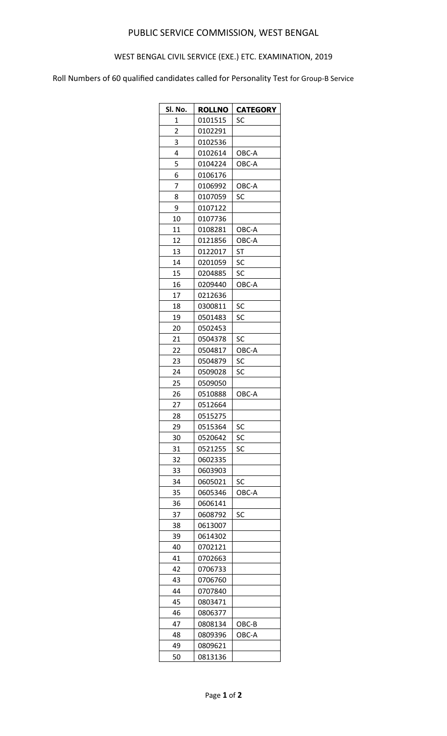## PUBLIC SERVICE COMMISSION, WEST BENGAL

## WEST BENGAL CIVIL SERVICE (EXE.) ETC. EXAMINATION, 2019

Roll Numbers of 60 qualified candidates called for Personality Test for Group-B Service

| SI. No.     | <b>ROLLNO</b> | <b>CATEGORY</b> |
|-------------|---------------|-----------------|
| $\mathbf 1$ | 0101515       | SC              |
| 2           | 0102291       |                 |
| 3           | 0102536       |                 |
| 4           | 0102614       | OBC-A           |
| 5           | 0104224       | OBC-A           |
| 6           | 0106176       |                 |
| 7           | 0106992       | OBC-A           |
| 8           | 0107059       | SC              |
| 9           | 0107122       |                 |
| 10          | 0107736       |                 |
| 11          | 0108281       | OBC-A           |
| 12          | 0121856       | OBC-A           |
| 13          | 0122017       | <b>ST</b>       |
| 14          | 0201059       | SC              |
| 15          | 0204885       | SC              |
| 16          | 0209440       | OBC-A           |
| 17          | 0212636       |                 |
| 18          | 0300811       | SC              |
| 19          | 0501483       | SC              |
| 20          | 0502453       |                 |
| 21          | 0504378       | SC              |
| 22          | 0504817       | OBC-A           |
| 23          | 0504879       | SC              |
| 24          | 0509028       | SC              |
| 25          | 0509050       |                 |
| 26          | 0510888       | OBC-A           |
| 27          | 0512664       |                 |
| 28          | 0515275       |                 |
| 29          | 0515364       | SC              |
| 30          | 0520642       | SC              |
| 31          | 0521255       | SC              |
| 32          | 0602335       |                 |
| 33          | 0603903       |                 |
| 34          | 0605021       | SC              |
| 35          | 0605346       | OBC-A           |
| 36          | 0606141       |                 |
| 37          | 0608792       | SC              |
| 38          | 0613007       |                 |
| 39          | 0614302       |                 |
| 40          | 0702121       |                 |
| 41          | 0702663       |                 |
| 42          | 0706733       |                 |
| 43          | 0706760       |                 |
| 44          | 0707840       |                 |
| 45          | 0803471       |                 |
| 46          | 0806377       |                 |
| 47          | 0808134       | OBC-B           |
| 48          | 0809396       | OBC-A           |
| 49          | 0809621       |                 |
| 50          | 0813136       |                 |